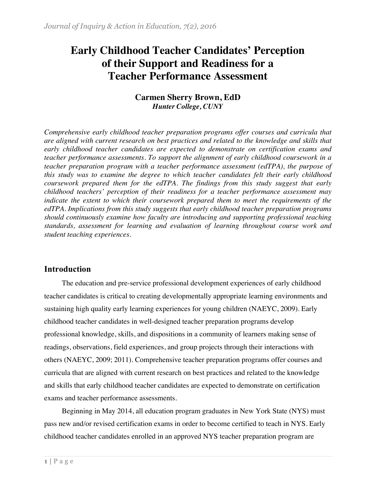# **Early Childhood Teacher Candidates' Perception of their Support and Readiness for a Teacher Performance Assessment**

# **Carmen Sherry Brown, EdD** *Hunter College, CUNY*

*Comprehensive early childhood teacher preparation programs offer courses and curricula that are aligned with current research on best practices and related to the knowledge and skills that early childhood teacher candidates are expected to demonstrate on certification exams and teacher performance assessments. To support the alignment of early childhood coursework in a teacher preparation program with a teacher performance assessment (edTPA), the purpose of this study was to examine the degree to which teacher candidates felt their early childhood coursework prepared them for the edTPA. The findings from this study suggest that early childhood teachers' perception of their readiness for a teacher performance assessment may indicate the extent to which their coursework prepared them to meet the requirements of the edTPA. Implications from this study suggests that early childhood teacher preparation programs should continuously examine how faculty are introducing and supporting professional teaching standards, assessment for learning and evaluation of learning throughout course work and student teaching experiences.*

# **Introduction**

The education and pre-service professional development experiences of early childhood teacher candidates is critical to creating developmentally appropriate learning environments and sustaining high quality early learning experiences for young children (NAEYC, 2009). Early childhood teacher candidates in well-designed teacher preparation programs develop professional knowledge, skills, and dispositions in a community of learners making sense of readings, observations, field experiences, and group projects through their interactions with others (NAEYC, 2009; 2011). Comprehensive teacher preparation programs offer courses and curricula that are aligned with current research on best practices and related to the knowledge and skills that early childhood teacher candidates are expected to demonstrate on certification exams and teacher performance assessments.

Beginning in May 2014, all education program graduates in New York State (NYS) must pass new and/or revised certification exams in order to become certified to teach in NYS. Early childhood teacher candidates enrolled in an approved NYS teacher preparation program are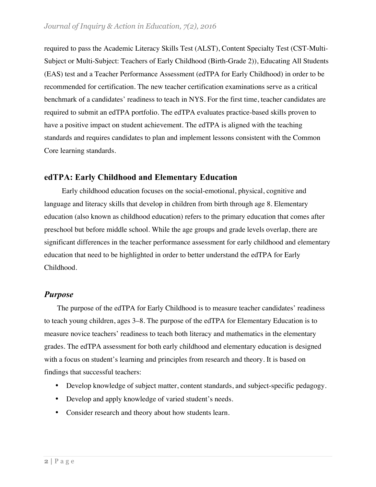required to pass the Academic Literacy Skills Test (ALST), Content Specialty Test (CST-Multi-Subject or Multi-Subject: Teachers of Early Childhood (Birth-Grade 2)), Educating All Students (EAS) test and a Teacher Performance Assessment (edTPA for Early Childhood) in order to be recommended for certification. The new teacher certification examinations serve as a critical benchmark of a candidates' readiness to teach in NYS. For the first time, teacher candidates are required to submit an edTPA portfolio. The edTPA evaluates practice-based skills proven to have a positive impact on student achievement. The edTPA is aligned with the teaching standards and requires candidates to plan and implement lessons consistent with the Common Core learning standards.

# **edTPA: Early Childhood and Elementary Education**

Early childhood education focuses on the social-emotional, physical, cognitive and language and literacy skills that develop in children from birth through age 8. Elementary education (also known as childhood education) refers to the primary education that comes after preschool but before middle school. While the age groups and grade levels overlap, there are significant differences in the teacher performance assessment for early childhood and elementary education that need to be highlighted in order to better understand the edTPA for Early Childhood.

# *Purpose*

The purpose of the edTPA for Early Childhood is to measure teacher candidates' readiness to teach young children, ages 3–8. The purpose of the edTPA for Elementary Education is to measure novice teachers' readiness to teach both literacy and mathematics in the elementary grades. The edTPA assessment for both early childhood and elementary education is designed with a focus on student's learning and principles from research and theory. It is based on findings that successful teachers:

- Develop knowledge of subject matter, content standards, and subject-specific pedagogy.
- Develop and apply knowledge of varied student's needs.
- Consider research and theory about how students learn.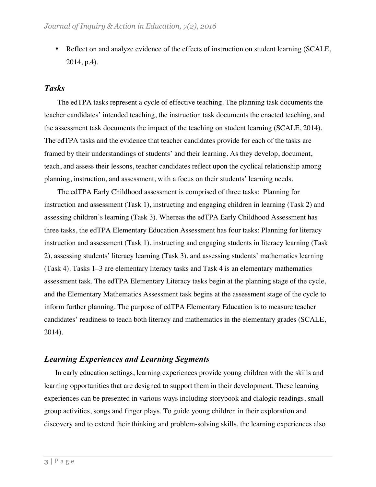• Reflect on and analyze evidence of the effects of instruction on student learning (SCALE, 2014, p.4).

### *Tasks*

The edTPA tasks represent a cycle of effective teaching. The planning task documents the teacher candidates' intended teaching, the instruction task documents the enacted teaching, and the assessment task documents the impact of the teaching on student learning (SCALE, 2014). The edTPA tasks and the evidence that teacher candidates provide for each of the tasks are framed by their understandings of students' and their learning. As they develop, document, teach, and assess their lessons, teacher candidates reflect upon the cyclical relationship among planning, instruction, and assessment, with a focus on their students' learning needs.

The edTPA Early Childhood assessment is comprised of three tasks: Planning for instruction and assessment (Task 1), instructing and engaging children in learning (Task 2) and assessing children's learning (Task 3). Whereas the edTPA Early Childhood Assessment has three tasks, the edTPA Elementary Education Assessment has four tasks: Planning for literacy instruction and assessment (Task 1), instructing and engaging students in literacy learning (Task 2), assessing students' literacy learning (Task 3), and assessing students' mathematics learning (Task 4). Tasks 1–3 are elementary literacy tasks and Task 4 is an elementary mathematics assessment task. The edTPA Elementary Literacy tasks begin at the planning stage of the cycle, and the Elementary Mathematics Assessment task begins at the assessment stage of the cycle to inform further planning. The purpose of edTPA Elementary Education is to measure teacher candidates' readiness to teach both literacy and mathematics in the elementary grades (SCALE, 2014).

### *Learning Experiences and Learning Segments*

 In early education settings, learning experiences provide young children with the skills and learning opportunities that are designed to support them in their development. These learning experiences can be presented in various ways including storybook and dialogic readings, small group activities, songs and finger plays. To guide young children in their exploration and discovery and to extend their thinking and problem-solving skills, the learning experiences also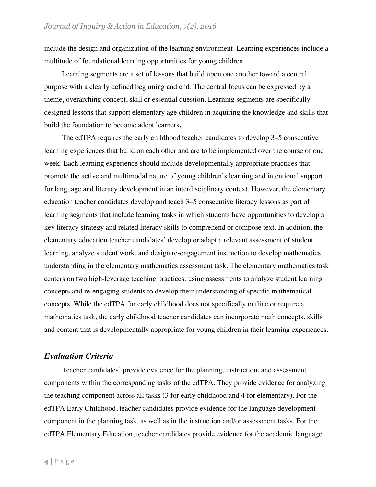include the design and organization of the learning environment. Learning experiences include a multitude of foundational learning opportunities for young children.

Learning segments are a set of lessons that build upon one another toward a central purpose with a clearly defined beginning and end. The central focus can be expressed by a theme, overarching concept, skill or essential question. Learning segments are specifically designed lessons that support elementary age children in acquiring the knowledge and skills that build the foundation to become adept learners**.**

The edTPA requires the early childhood teacher candidates to develop 3–5 consecutive learning experiences that build on each other and are to be implemented over the course of one week. Each learning experience should include developmentally appropriate practices that promote the active and multimodal nature of young children's learning and intentional support for language and literacy development in an interdisciplinary context. However, the elementary education teacher candidates develop and teach 3–5 consecutive literacy lessons as part of learning segments that include learning tasks in which students have opportunities to develop a key literacy strategy and related literacy skills to comprehend or compose text. In addition, the elementary education teacher candidates' develop or adapt a relevant assessment of student learning, analyze student work, and design re-engagement instruction to develop mathematics understanding in the elementary mathematics assessment task. The elementary mathematics task centers on two high-leverage teaching practices: using assessments to analyze student learning concepts and re-engaging students to develop their understanding of specific mathematical concepts. While the edTPA for early childhood does not specifically outline or require a mathematics task, the early childhood teacher candidates can incorporate math concepts, skills and content that is developmentally appropriate for young children in their learning experiences.

# *Evaluation Criteria*

Teacher candidates' provide evidence for the planning, instruction, and assessment components within the corresponding tasks of the edTPA. They provide evidence for analyzing the teaching component across all tasks (3 for early childhood and 4 for elementary). For the edTPA Early Childhood, teacher candidates provide evidence for the language development component in the planning task, as well as in the instruction and/or assessment tasks. For the edTPA Elementary Education, teacher candidates provide evidence for the academic language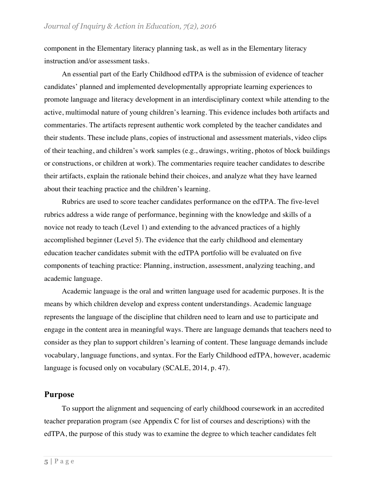component in the Elementary literacy planning task, as well as in the Elementary literacy instruction and/or assessment tasks.

An essential part of the Early Childhood edTPA is the submission of evidence of teacher candidates' planned and implemented developmentally appropriate learning experiences to promote language and literacy development in an interdisciplinary context while attending to the active, multimodal nature of young children's learning. This evidence includes both artifacts and commentaries. The artifacts represent authentic work completed by the teacher candidates and their students. These include plans, copies of instructional and assessment materials, video clips of their teaching, and children's work samples (e.g., drawings, writing, photos of block buildings or constructions, or children at work). The commentaries require teacher candidates to describe their artifacts, explain the rationale behind their choices, and analyze what they have learned about their teaching practice and the children's learning.

Rubrics are used to score teacher candidates performance on the edTPA. The five-level rubrics address a wide range of performance, beginning with the knowledge and skills of a novice not ready to teach (Level 1) and extending to the advanced practices of a highly accomplished beginner (Level 5). The evidence that the early childhood and elementary education teacher candidates submit with the edTPA portfolio will be evaluated on five components of teaching practice: Planning, instruction, assessment, analyzing teaching, and academic language.

Academic language is the oral and written language used for academic purposes. It is the means by which children develop and express content understandings. Academic language represents the language of the discipline that children need to learn and use to participate and engage in the content area in meaningful ways. There are language demands that teachers need to consider as they plan to support children's learning of content. These language demands include vocabulary, language functions, and syntax. For the Early Childhood edTPA, however, academic language is focused only on vocabulary (SCALE, 2014, p. 47).

### **Purpose**

To support the alignment and sequencing of early childhood coursework in an accredited teacher preparation program (see Appendix C for list of courses and descriptions) with the edTPA, the purpose of this study was to examine the degree to which teacher candidates felt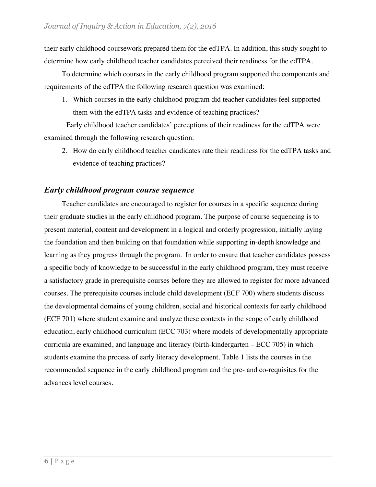their early childhood coursework prepared them for the edTPA. In addition, this study sought to determine how early childhood teacher candidates perceived their readiness for the edTPA.

To determine which courses in the early childhood program supported the components and requirements of the edTPA the following research question was examined:

1. Which courses in the early childhood program did teacher candidates feel supported them with the edTPA tasks and evidence of teaching practices?

Early childhood teacher candidates' perceptions of their readiness for the edTPA were examined through the following research question:

2. How do early childhood teacher candidates rate their readiness for the edTPA tasks and evidence of teaching practices?

# *Early childhood program course sequence*

Teacher candidates are encouraged to register for courses in a specific sequence during their graduate studies in the early childhood program. The purpose of course sequencing is to present material, content and development in a logical and orderly progression, initially laying the foundation and then building on that foundation while supporting in-depth knowledge and learning as they progress through the program. In order to ensure that teacher candidates possess a specific body of knowledge to be successful in the early childhood program, they must receive a satisfactory grade in prerequisite courses before they are allowed to register for more advanced courses. The prerequisite courses include child development (ECF 700) where students discuss the developmental domains of young children, social and historical contexts for early childhood (ECF 701) where student examine and analyze these contexts in the scope of early childhood education, early childhood curriculum (ECC 703) where models of developmentally appropriate curricula are examined, and language and literacy (birth-kindergarten – ECC 705) in which students examine the process of early literacy development. Table 1 lists the courses in the recommended sequence in the early childhood program and the pre- and co-requisites for the advances level courses.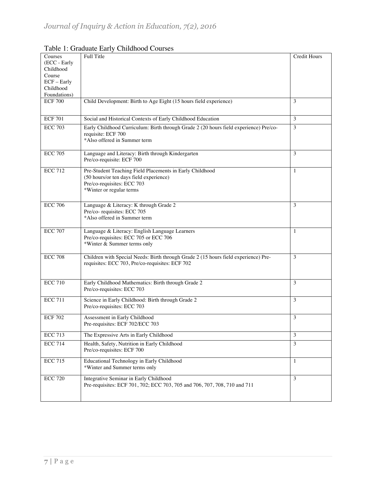| Courses        | Full Title                                                                            | <b>Credit Hours</b> |
|----------------|---------------------------------------------------------------------------------------|---------------------|
| (ECC - Early   |                                                                                       |                     |
| Childhood      |                                                                                       |                     |
| Course         |                                                                                       |                     |
| ECF - Early    |                                                                                       |                     |
| Childhood      |                                                                                       |                     |
| Foundations)   |                                                                                       |                     |
| <b>ECF 700</b> | Child Development: Birth to Age Eight (15 hours field experience)                     | 3                   |
|                |                                                                                       |                     |
| <b>ECF 701</b> | Social and Historical Contexts of Early Childhood Education                           | 3                   |
| <b>ECC 703</b> | Early Childhood Curriculum: Birth through Grade 2 (20 hours field experience) Pre/co- | 3                   |
|                | requisite: ECF 700                                                                    |                     |
|                | *Also offered in Summer term                                                          |                     |
|                |                                                                                       |                     |
| <b>ECC 705</b> | Language and Literacy: Birth through Kindergarten                                     | 3                   |
|                | Pre/co-requisite: ECF 700                                                             |                     |
| <b>ECC 712</b> | Pre-Student Teaching Field Placements in Early Childhood                              | 1                   |
|                | (50 hours/or ten days field experience)                                               |                     |
|                | Pre/co-requisites: ECC 703                                                            |                     |
|                | *Winter or regular terms                                                              |                     |
|                |                                                                                       |                     |
| <b>ECC 706</b> | Language & Literacy: K through Grade 2                                                | 3                   |
|                | Pre/co- requisites: ECC 705                                                           |                     |
|                | *Also offered in Summer term                                                          |                     |
|                |                                                                                       |                     |
| <b>ECC 707</b> | Language & Literacy: English Language Learners                                        | 1                   |
|                | Pre/co-requisites: ECC 705 or ECC 706                                                 |                     |
|                | *Winter & Summer terms only                                                           |                     |
|                |                                                                                       |                     |
| <b>ECC 708</b> | Children with Special Needs: Birth through Grade 2 (15 hours field experience) Pre-   | 3                   |
|                | requisites: ECC 703, Pre/co-requisites: ECF 702                                       |                     |
|                |                                                                                       |                     |
| <b>ECC 710</b> | Early Childhood Mathematics: Birth through Grade 2                                    | 3                   |
|                | Pre/co-requisites: ECC 703                                                            |                     |
|                |                                                                                       |                     |
| <b>ECC 711</b> | Science in Early Childhood: Birth through Grade 2                                     | 3                   |
|                | Pre/co-requisites: ECC 703                                                            |                     |
| <b>ECF 702</b> | Assessment in Early Childhood                                                         | 3                   |
|                | Pre-requisites: ECF 702/ECC 703                                                       |                     |
|                |                                                                                       |                     |
| <b>ECC 713</b> | The Expressive Arts in Early Childhood                                                | 3                   |
| <b>ECC 714</b> | Health, Safety, Nutrition in Early Childhood                                          | 3                   |
|                | Pre/co-requisites: ECF 700                                                            |                     |
| <b>ECC 715</b> | Educational Technology in Early Childhood                                             | 1                   |
|                | *Winter and Summer terms only                                                         |                     |
|                |                                                                                       |                     |
| <b>ECC 720</b> | Integrative Seminar in Early Childhood                                                | 3                   |
|                | Pre-requisites: ECF 701, 702; ECC 703, 705 and 706, 707, 708, 710 and 711             |                     |
|                |                                                                                       |                     |
|                |                                                                                       |                     |

Table 1: Graduate Early Childhood Courses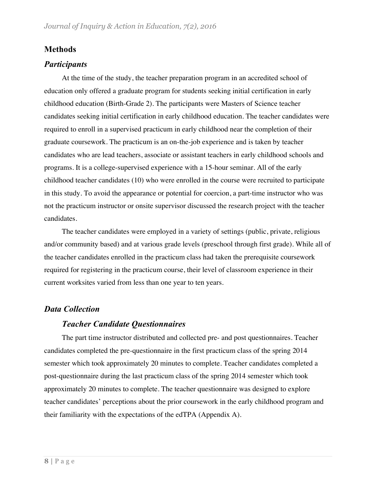# **Methods**

# *Participants*

At the time of the study, the teacher preparation program in an accredited school of education only offered a graduate program for students seeking initial certification in early childhood education (Birth-Grade 2). The participants were Masters of Science teacher candidates seeking initial certification in early childhood education. The teacher candidates were required to enroll in a supervised practicum in early childhood near the completion of their graduate coursework. The practicum is an on-the-job experience and is taken by teacher candidates who are lead teachers, associate or assistant teachers in early childhood schools and programs. It is a college-supervised experience with a 15-hour seminar. All of the early childhood teacher candidates (10) who were enrolled in the course were recruited to participate in this study. To avoid the appearance or potential for coercion, a part-time instructor who was not the practicum instructor or onsite supervisor discussed the research project with the teacher candidates.

The teacher candidates were employed in a variety of settings (public, private, religious and/or community based) and at various grade levels (preschool through first grade). While all of the teacher candidates enrolled in the practicum class had taken the prerequisite coursework required for registering in the practicum course, their level of classroom experience in their current worksites varied from less than one year to ten years.

# *Data Collection*

# *Teacher Candidate Questionnaires*

The part time instructor distributed and collected pre- and post questionnaires. Teacher candidates completed the pre-questionnaire in the first practicum class of the spring 2014 semester which took approximately 20 minutes to complete. Teacher candidates completed a post-questionnaire during the last practicum class of the spring 2014 semester which took approximately 20 minutes to complete. The teacher questionnaire was designed to explore teacher candidates' perceptions about the prior coursework in the early childhood program and their familiarity with the expectations of the edTPA (Appendix A).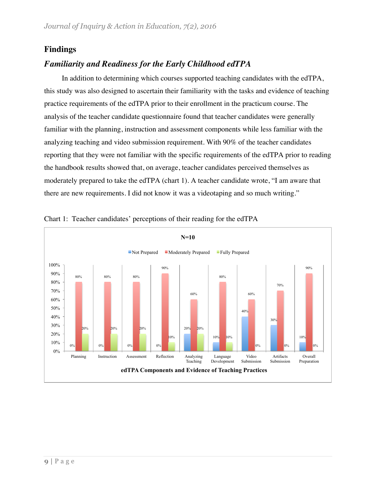# **Findings**

# *Familiarity and Readiness for the Early Childhood edTPA*

In addition to determining which courses supported teaching candidates with the edTPA, this study was also designed to ascertain their familiarity with the tasks and evidence of teaching practice requirements of the edTPA prior to their enrollment in the practicum course. The analysis of the teacher candidate questionnaire found that teacher candidates were generally familiar with the planning, instruction and assessment components while less familiar with the analyzing teaching and video submission requirement. With 90% of the teacher candidates reporting that they were not familiar with the specific requirements of the edTPA prior to reading the handbook results showed that, on average, teacher candidates perceived themselves as moderately prepared to take the edTPA (chart 1). A teacher candidate wrote, "I am aware that there are new requirements. I did not know it was a videotaping and so much writing."



Chart 1: Teacher candidates' perceptions of their reading for the edTPA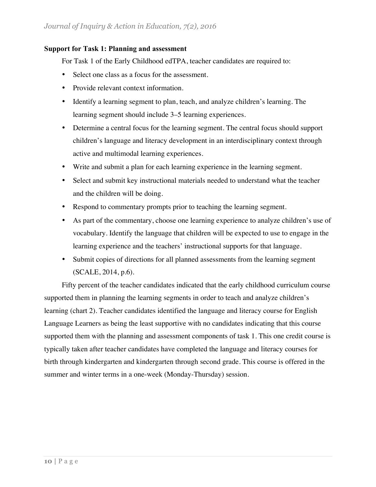### **Support for Task 1: Planning and assessment**

For Task 1 of the Early Childhood edTPA, teacher candidates are required to:

- Select one class as a focus for the assessment.
- Provide relevant context information.
- Identify a learning segment to plan, teach, and analyze children's learning. The learning segment should include 3–5 learning experiences.
- Determine a central focus for the learning segment. The central focus should support children's language and literacy development in an interdisciplinary context through active and multimodal learning experiences.
- Write and submit a plan for each learning experience in the learning segment.
- Select and submit key instructional materials needed to understand what the teacher and the children will be doing.
- Respond to commentary prompts prior to teaching the learning segment.
- As part of the commentary, choose one learning experience to analyze children's use of vocabulary. Identify the language that children will be expected to use to engage in the learning experience and the teachers' instructional supports for that language.
- Submit copies of directions for all planned assessments from the learning segment (SCALE, 2014, p.6).

Fifty percent of the teacher candidates indicated that the early childhood curriculum course supported them in planning the learning segments in order to teach and analyze children's learning (chart 2). Teacher candidates identified the language and literacy course for English Language Learners as being the least supportive with no candidates indicating that this course supported them with the planning and assessment components of task 1. This one credit course is typically taken after teacher candidates have completed the language and literacy courses for birth through kindergarten and kindergarten through second grade. This course is offered in the summer and winter terms in a one-week (Monday-Thursday) session.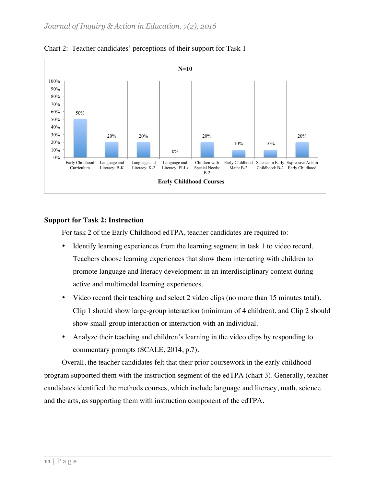

Chart 2: Teacher candidates' perceptions of their support for Task 1

### **Support for Task 2: Instruction**

For task 2 of the Early Childhood edTPA, teacher candidates are required to:

- Identify learning experiences from the learning segment in task 1 to video record. Teachers choose learning experiences that show them interacting with children to promote language and literacy development in an interdisciplinary context during active and multimodal learning experiences.
- Video record their teaching and select 2 video clips (no more than 15 minutes total). Clip 1 should show large-group interaction (minimum of 4 children), and Clip 2 should show small-group interaction or interaction with an individual.
- Analyze their teaching and children's learning in the video clips by responding to commentary prompts (SCALE, 2014, p.7).

Overall, the teacher candidates felt that their prior coursework in the early childhood program supported them with the instruction segment of the edTPA (chart 3). Generally, teacher candidates identified the methods courses, which include language and literacy, math, science and the arts, as supporting them with instruction component of the edTPA.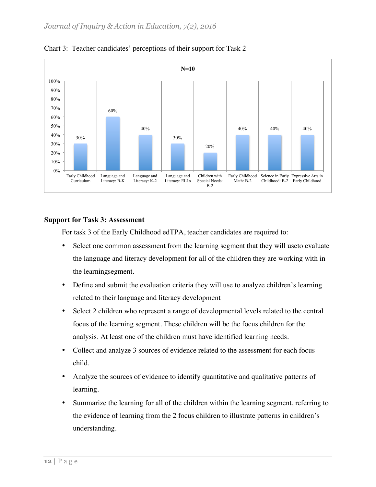

Chart 3: Teacher candidates' perceptions of their support for Task 2

### **Support for Task 3: Assessment**

For task 3 of the Early Childhood edTPA, teacher candidates are required to:

- Select one common assessment from the learning segment that they will useto evaluate the language and literacy development for all of the children they are working with in the learningsegment.
- Define and submit the evaluation criteria they will use to analyze children's learning related to their language and literacy development
- Select 2 children who represent a range of developmental levels related to the central focus of the learning segment. These children will be the focus children for the analysis. At least one of the children must have identified learning needs.
- Collect and analyze 3 sources of evidence related to the assessment for each focus child.
- Analyze the sources of evidence to identify quantitative and qualitative patterns of learning.
- Summarize the learning for all of the children within the learning segment, referring to the evidence of learning from the 2 focus children to illustrate patterns in children's understanding.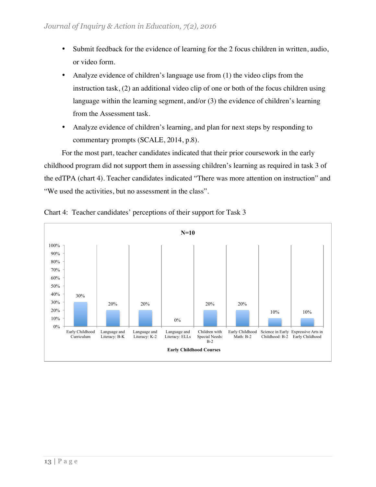- Submit feedback for the evidence of learning for the 2 focus children in written, audio, or video form.
- Analyze evidence of children's language use from (1) the video clips from the instruction task, (2) an additional video clip of one or both of the focus children using language within the learning segment, and/or (3) the evidence of children's learning from the Assessment task.
- Analyze evidence of children's learning, and plan for next steps by responding to commentary prompts (SCALE, 2014, p.8).

For the most part, teacher candidates indicated that their prior coursework in the early childhood program did not support them in assessing children's learning as required in task 3 of the edTPA (chart 4). Teacher candidates indicated "There was more attention on instruction" and "We used the activities, but no assessment in the class".



Chart 4: Teacher candidates' perceptions of their support for Task 3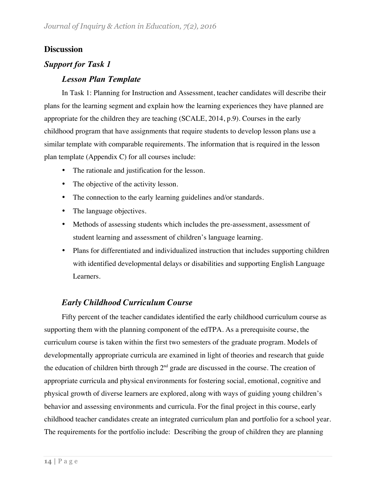# **Discussion**

# *Support for Task 1*

# *Lesson Plan Template*

In Task 1: Planning for Instruction and Assessment, teacher candidates will describe their plans for the learning segment and explain how the learning experiences they have planned are appropriate for the children they are teaching (SCALE, 2014, p.9). Courses in the early childhood program that have assignments that require students to develop lesson plans use a similar template with comparable requirements. The information that is required in the lesson plan template (Appendix C) for all courses include:

- The rationale and justification for the lesson.
- The objective of the activity lesson.
- The connection to the early learning guidelines and/or standards.
- The language objectives.
- Methods of assessing students which includes the pre-assessment, assessment of student learning and assessment of children's language learning.
- Plans for differentiated and individualized instruction that includes supporting children with identified developmental delays or disabilities and supporting English Language Learners.

# *Early Childhood Curriculum Course*

Fifty percent of the teacher candidates identified the early childhood curriculum course as supporting them with the planning component of the edTPA. As a prerequisite course, the curriculum course is taken within the first two semesters of the graduate program. Models of developmentally appropriate curricula are examined in light of theories and research that guide the education of children birth through  $2<sup>nd</sup>$  grade are discussed in the course. The creation of appropriate curricula and physical environments for fostering social, emotional, cognitive and physical growth of diverse learners are explored, along with ways of guiding young children's behavior and assessing environments and curricula. For the final project in this course, early childhood teacher candidates create an integrated curriculum plan and portfolio for a school year. The requirements for the portfolio include: Describing the group of children they are planning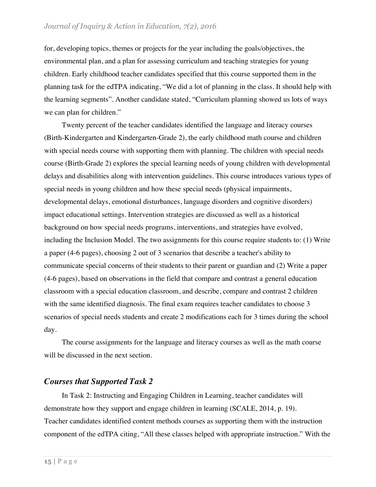### *Journal of Inquiry & Action in Education, 7(2), 2016*

for, developing topics, themes or projects for the year including the goals/objectives, the environmental plan, and a plan for assessing curriculum and teaching strategies for young children. Early childhood teacher candidates specified that this course supported them in the planning task for the edTPA indicating, "We did a lot of planning in the class. It should help with the learning segments". Another candidate stated, "Curriculum planning showed us lots of ways we can plan for children."

Twenty percent of the teacher candidates identified the language and literacy courses (Birth-Kindergarten and Kindergarten-Grade 2), the early childhood math course and children with special needs course with supporting them with planning. The children with special needs course (Birth-Grade 2) explores the special learning needs of young children with developmental delays and disabilities along with intervention guidelines. This course introduces various types of special needs in young children and how these special needs (physical impairments, developmental delays, emotional disturbances, language disorders and cognitive disorders) impact educational settings. Intervention strategies are discussed as well as a historical background on how special needs programs, interventions, and strategies have evolved, including the Inclusion Model. The two assignments for this course require students to: (1) Write a paper (4-6 pages), choosing 2 out of 3 scenarios that describe a teacher's ability to communicate special concerns of their students to their parent or guardian and (2) Write a paper (4-6 pages), based on observations in the field that compare and contrast a general education classroom with a special education classroom, and describe, compare and contrast 2 children with the same identified diagnosis. The final exam requires teacher candidates to choose 3 scenarios of special needs students and create 2 modifications each for 3 times during the school day.

The course assignments for the language and literacy courses as well as the math course will be discussed in the next section.

### *Courses that Supported Task 2*

In Task 2: Instructing and Engaging Children in Learning, teacher candidates will demonstrate how they support and engage children in learning (SCALE, 2014, p. 19). Teacher candidates identified content methods courses as supporting them with the instruction component of the edTPA citing, "All these classes helped with appropriate instruction." With the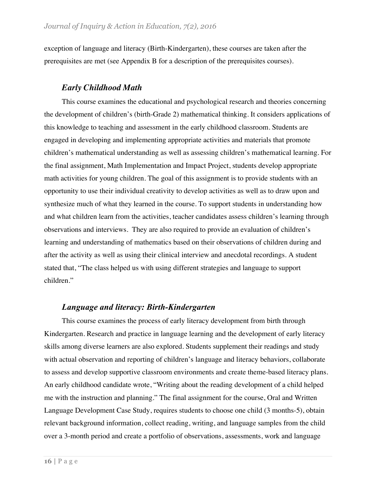exception of language and literacy (Birth-Kindergarten), these courses are taken after the prerequisites are met (see Appendix B for a description of the prerequisites courses).

# *Early Childhood Math*

This course examines the educational and psychological research and theories concerning the development of children's (birth-Grade 2) mathematical thinking. It considers applications of this knowledge to teaching and assessment in the early childhood classroom. Students are engaged in developing and implementing appropriate activities and materials that promote children's mathematical understanding as well as assessing children's mathematical learning. For the final assignment, Math Implementation and Impact Project, students develop appropriate math activities for young children. The goal of this assignment is to provide students with an opportunity to use their individual creativity to develop activities as well as to draw upon and synthesize much of what they learned in the course. To support students in understanding how and what children learn from the activities, teacher candidates assess children's learning through observations and interviews. They are also required to provide an evaluation of children's learning and understanding of mathematics based on their observations of children during and after the activity as well as using their clinical interview and anecdotal recordings. A student stated that, "The class helped us with using different strategies and language to support children."

# *Language and literacy: Birth-Kindergarten*

This course examines the process of early literacy development from birth through Kindergarten. Research and practice in language learning and the development of early literacy skills among diverse learners are also explored. Students supplement their readings and study with actual observation and reporting of children's language and literacy behaviors, collaborate to assess and develop supportive classroom environments and create theme-based literacy plans. An early childhood candidate wrote, "Writing about the reading development of a child helped me with the instruction and planning." The final assignment for the course, Oral and Written Language Development Case Study, requires students to choose one child (3 months-5), obtain relevant background information, collect reading, writing, and language samples from the child over a 3-month period and create a portfolio of observations, assessments, work and language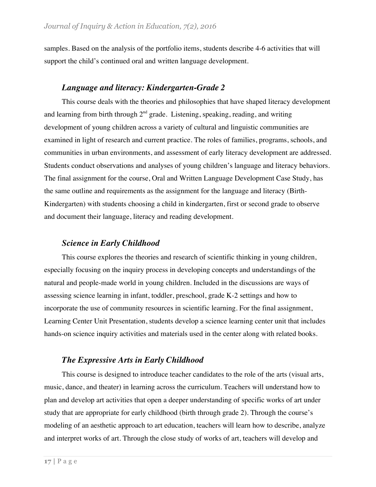samples. Based on the analysis of the portfolio items, students describe 4-6 activities that will support the child's continued oral and written language development.

### *Language and literacy: Kindergarten-Grade 2*

This course deals with the theories and philosophies that have shaped literacy development and learning from birth through  $2<sup>nd</sup>$  grade. Listening, speaking, reading, and writing development of young children across a variety of cultural and linguistic communities are examined in light of research and current practice. The roles of families, programs, schools, and communities in urban environments, and assessment of early literacy development are addressed. Students conduct observations and analyses of young children's language and literacy behaviors. The final assignment for the course, Oral and Written Language Development Case Study, has the same outline and requirements as the assignment for the language and literacy (Birth-Kindergarten) with students choosing a child in kindergarten, first or second grade to observe and document their language, literacy and reading development.

### *Science in Early Childhood*

This course explores the theories and research of scientific thinking in young children, especially focusing on the inquiry process in developing concepts and understandings of the natural and people-made world in young children. Included in the discussions are ways of assessing science learning in infant, toddler, preschool, grade K-2 settings and how to incorporate the use of community resources in scientific learning. For the final assignment, Learning Center Unit Presentation, students develop a science learning center unit that includes hands-on science inquiry activities and materials used in the center along with related books.

# *The Expressive Arts in Early Childhood*

This course is designed to introduce teacher candidates to the role of the arts (visual arts, music, dance, and theater) in learning across the curriculum. Teachers will understand how to plan and develop art activities that open a deeper understanding of specific works of art under study that are appropriate for early childhood (birth through grade 2). Through the course's modeling of an aesthetic approach to art education, teachers will learn how to describe, analyze and interpret works of art. Through the close study of works of art, teachers will develop and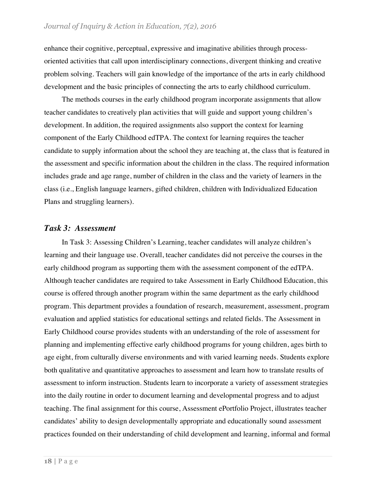enhance their cognitive, perceptual, expressive and imaginative abilities through processoriented activities that call upon interdisciplinary connections, divergent thinking and creative problem solving. Teachers will gain knowledge of the importance of the arts in early childhood development and the basic principles of connecting the arts to early childhood curriculum.

The methods courses in the early childhood program incorporate assignments that allow teacher candidates to creatively plan activities that will guide and support young children's development. In addition, the required assignments also support the context for learning component of the Early Childhood edTPA. The context for learning requires the teacher candidate to supply information about the school they are teaching at, the class that is featured in the assessment and specific information about the children in the class. The required information includes grade and age range, number of children in the class and the variety of learners in the class (i.e., English language learners, gifted children, children with Individualized Education Plans and struggling learners).

### *Task 3: Assessment*

In Task 3: Assessing Children's Learning, teacher candidates will analyze children's learning and their language use. Overall, teacher candidates did not perceive the courses in the early childhood program as supporting them with the assessment component of the edTPA. Although teacher candidates are required to take Assessment in Early Childhood Education, this course is offered through another program within the same department as the early childhood program. This department provides a foundation of research, measurement, assessment, program evaluation and applied statistics for educational settings and related fields. The Assessment in Early Childhood course provides students with an understanding of the role of assessment for planning and implementing effective early childhood programs for young children, ages birth to age eight, from culturally diverse environments and with varied learning needs. Students explore both qualitative and quantitative approaches to assessment and learn how to translate results of assessment to inform instruction. Students learn to incorporate a variety of assessment strategies into the daily routine in order to document learning and developmental progress and to adjust teaching. The final assignment for this course, Assessment ePortfolio Project, illustrates teacher candidates' ability to design developmentally appropriate and educationally sound assessment practices founded on their understanding of child development and learning, informal and formal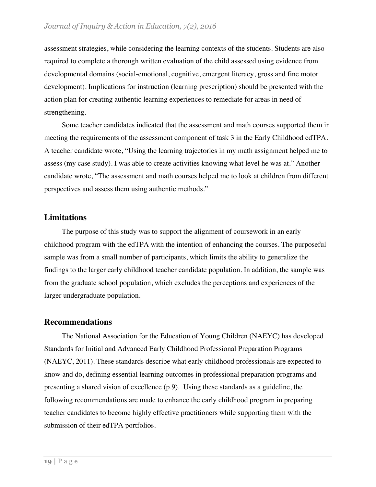assessment strategies, while considering the learning contexts of the students. Students are also required to complete a thorough written evaluation of the child assessed using evidence from developmental domains (social-emotional, cognitive, emergent literacy, gross and fine motor development). Implications for instruction (learning prescription) should be presented with the action plan for creating authentic learning experiences to remediate for areas in need of strengthening.

Some teacher candidates indicated that the assessment and math courses supported them in meeting the requirements of the assessment component of task 3 in the Early Childhood edTPA. A teacher candidate wrote, "Using the learning trajectories in my math assignment helped me to assess (my case study). I was able to create activities knowing what level he was at." Another candidate wrote, "The assessment and math courses helped me to look at children from different perspectives and assess them using authentic methods."

### **Limitations**

The purpose of this study was to support the alignment of coursework in an early childhood program with the edTPA with the intention of enhancing the courses. The purposeful sample was from a small number of participants, which limits the ability to generalize the findings to the larger early childhood teacher candidate population. In addition, the sample was from the graduate school population, which excludes the perceptions and experiences of the larger undergraduate population.

### **Recommendations**

The National Association for the Education of Young Children (NAEYC) has developed Standards for Initial and Advanced Early Childhood Professional Preparation Programs (NAEYC, 2011). These standards describe what early childhood professionals are expected to know and do, defining essential learning outcomes in professional preparation programs and presenting a shared vision of excellence (p.9). Using these standards as a guideline, the following recommendations are made to enhance the early childhood program in preparing teacher candidates to become highly effective practitioners while supporting them with the submission of their edTPA portfolios.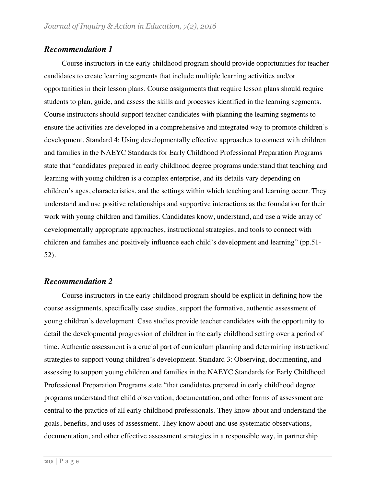### *Recommendation 1*

Course instructors in the early childhood program should provide opportunities for teacher candidates to create learning segments that include multiple learning activities and/or opportunities in their lesson plans. Course assignments that require lesson plans should require students to plan, guide, and assess the skills and processes identified in the learning segments. Course instructors should support teacher candidates with planning the learning segments to ensure the activities are developed in a comprehensive and integrated way to promote children's development. Standard 4: Using developmentally effective approaches to connect with children and families in the NAEYC Standards for Early Childhood Professional Preparation Programs state that "candidates prepared in early childhood degree programs understand that teaching and learning with young children is a complex enterprise, and its details vary depending on children's ages, characteristics, and the settings within which teaching and learning occur. They understand and use positive relationships and supportive interactions as the foundation for their work with young children and families. Candidates know, understand, and use a wide array of developmentally appropriate approaches, instructional strategies, and tools to connect with children and families and positively influence each child's development and learning" (pp.51- 52).

# *Recommendation 2*

Course instructors in the early childhood program should be explicit in defining how the course assignments, specifically case studies, support the formative, authentic assessment of young children's development. Case studies provide teacher candidates with the opportunity to detail the developmental progression of children in the early childhood setting over a period of time. Authentic assessment is a crucial part of curriculum planning and determining instructional strategies to support young children's development. Standard 3: Observing, documenting, and assessing to support young children and families in the NAEYC Standards for Early Childhood Professional Preparation Programs state "that candidates prepared in early childhood degree programs understand that child observation, documentation, and other forms of assessment are central to the practice of all early childhood professionals. They know about and understand the goals, benefits, and uses of assessment. They know about and use systematic observations, documentation, and other effective assessment strategies in a responsible way, in partnership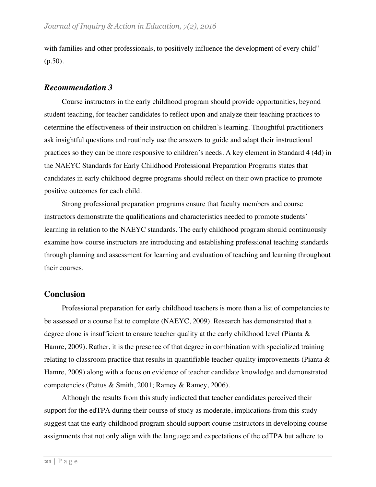with families and other professionals, to positively influence the development of every child"  $(p.50)$ .

### *Recommendation 3*

Course instructors in the early childhood program should provide opportunities, beyond student teaching, for teacher candidates to reflect upon and analyze their teaching practices to determine the effectiveness of their instruction on children's learning. Thoughtful practitioners ask insightful questions and routinely use the answers to guide and adapt their instructional practices so they can be more responsive to children's needs. A key element in Standard 4 (4d) in the NAEYC Standards for Early Childhood Professional Preparation Programs states that candidates in early childhood degree programs should reflect on their own practice to promote positive outcomes for each child.

Strong professional preparation programs ensure that faculty members and course instructors demonstrate the qualifications and characteristics needed to promote students' learning in relation to the NAEYC standards. The early childhood program should continuously examine how course instructors are introducing and establishing professional teaching standards through planning and assessment for learning and evaluation of teaching and learning throughout their courses.

### **Conclusion**

Professional preparation for early childhood teachers is more than a list of competencies to be assessed or a course list to complete (NAEYC, 2009). Research has demonstrated that a degree alone is insufficient to ensure teacher quality at the early childhood level (Pianta & Hamre, 2009). Rather, it is the presence of that degree in combination with specialized training relating to classroom practice that results in quantifiable teacher-quality improvements (Pianta & Hamre, 2009) along with a focus on evidence of teacher candidate knowledge and demonstrated competencies (Pettus & Smith, 2001; Ramey & Ramey, 2006).

Although the results from this study indicated that teacher candidates perceived their support for the edTPA during their course of study as moderate, implications from this study suggest that the early childhood program should support course instructors in developing course assignments that not only align with the language and expectations of the edTPA but adhere to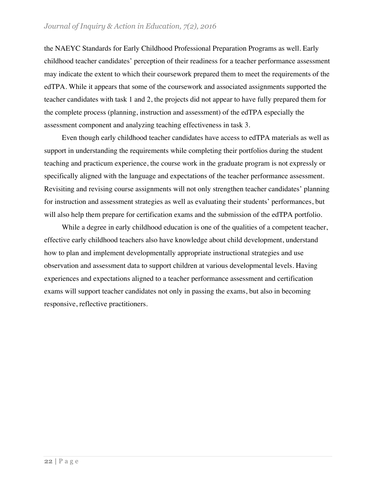the NAEYC Standards for Early Childhood Professional Preparation Programs as well. Early childhood teacher candidates' perception of their readiness for a teacher performance assessment may indicate the extent to which their coursework prepared them to meet the requirements of the edTPA. While it appears that some of the coursework and associated assignments supported the teacher candidates with task 1 and 2, the projects did not appear to have fully prepared them for the complete process (planning, instruction and assessment) of the edTPA especially the assessment component and analyzing teaching effectiveness in task 3.

Even though early childhood teacher candidates have access to edTPA materials as well as support in understanding the requirements while completing their portfolios during the student teaching and practicum experience, the course work in the graduate program is not expressly or specifically aligned with the language and expectations of the teacher performance assessment. Revisiting and revising course assignments will not only strengthen teacher candidates' planning for instruction and assessment strategies as well as evaluating their students' performances, but will also help them prepare for certification exams and the submission of the edTPA portfolio.

While a degree in early childhood education is one of the qualities of a competent teacher, effective early childhood teachers also have knowledge about child development, understand how to plan and implement developmentally appropriate instructional strategies and use observation and assessment data to support children at various developmental levels. Having experiences and expectations aligned to a teacher performance assessment and certification exams will support teacher candidates not only in passing the exams, but also in becoming responsive, reflective practitioners.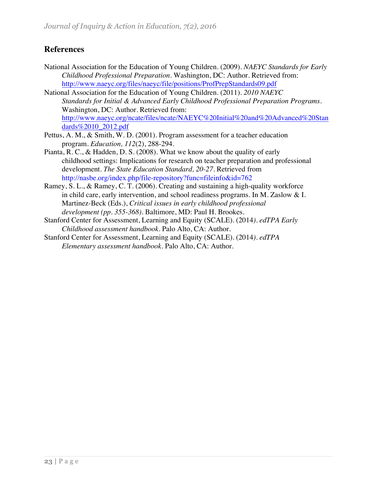# **References**

- National Association for the Education of Young Children. (2009). *NAEYC Standards for Early Childhood Professional Preparation.* Washington, DC: Author. Retrieved from: http://www.naeyc.org/files/naeyc/file/positions/ProfPrepStandards09.pdf
- National Association for the Education of Young Children. (2011). *2010 NAEYC Standards for Initial & Advanced Early Childhood Professional Preparation Programs.* Washington, DC: Author. Retrieved from: http://www.naeyc.org/ncate/files/ncate/NAEYC%20Initial%20and%20Advanced%20Stan dards%2010\_2012.pdf
- Pettus, A. M., & Smith, W. D. (2001). Program assessment for a teacher education program. *Education, 112*(2), 288-294.
- Pianta, R. C., & Hadden, D. S. (2008). What we know about the quality of early childhood settings: Implications for research on teacher preparation and professional development. *The State Education Standard, 20-27*. Retrieved from http://nasbe.org/index.php/file-repository?func=fileinfo&id=762
- Ramey, S. L., & Ramey, C. T. (2006). Creating and sustaining a high-quality workforce in child care, early intervention, and school readiness programs. In M. Zaslow & I. Martinez-Beck (Eds.), *Critical issues in early childhood professional development (pp. 355-368).* Baltimore, MD: Paul H. Brookes.
- Stanford Center for Assessment, Learning and Equity (SCALE). (2014*). edTPA Early Childhood assessment handbook.* Palo Alto, CA: Author.
- Stanford Center for Assessment, Learning and Equity (SCALE). (2014*). edTPA Elementary assessment handbook.* Palo Alto, CA: Author.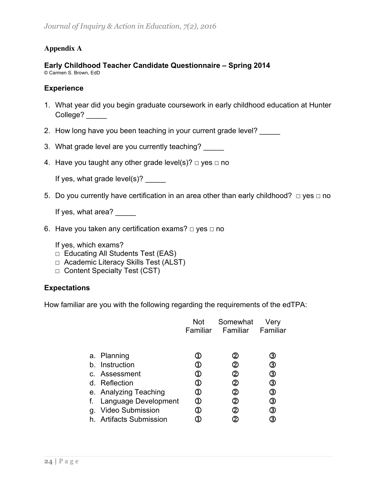# **Appendix A**

### **Early Childhood Teacher Candidate Questionnaire – Spring 2014** © Carmen S. Brown, EdD

### **Experience**

- 1. What year did you begin graduate coursework in early childhood education at Hunter College?
- 2. How long have you been teaching in your current grade level?
- 3. What grade level are you currently teaching?
- 4. Have you taught any other grade level(s)?  $\Box$  yes  $\Box$  no

If yes, what grade  $level(s)?$ 

5. Do you currently have certification in an area other than early childhood?  $□$  yes  $□$  no

If yes, what area?

6. Have you taken any certification exams?  $□$  yes  $□$  no

If yes, which exams?

- ☐ Educating All Students Test (EAS)
- ☐ Academic Literacy Skills Test (ALST)
- ☐ Content Specialty Test (CST)

### **Expectations**

How familiar are you with the following regarding the requirements of the edTPA:

|          |                                                                                                                                                                        | Not<br>Familiar    | Somewhat<br>Familiar          | Very<br>Familiar                      |
|----------|------------------------------------------------------------------------------------------------------------------------------------------------------------------------|--------------------|-------------------------------|---------------------------------------|
| h.<br>g. | a. Planning<br>Instruction<br>c. Assessment<br>d. Reflection<br>e. Analyzing Teaching<br>f. Language Development<br><b>Video Submission</b><br>h. Artifacts Submission | 1)<br>1)<br>D<br>D | 2<br>2)<br>2)<br>2<br>2<br>2) | З<br>③<br>③<br>③<br>③<br>③<br>③<br>3) |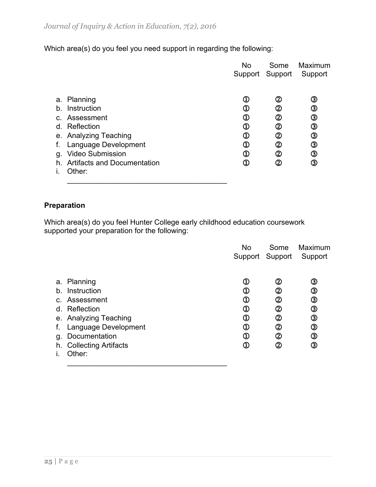Which area(s) do you feel you need support in regarding the following:

|                |                                    | <b>No</b>                   | Some            | Maximum |
|----------------|------------------------------------|-----------------------------|-----------------|---------|
|                |                                    |                             | Support Support | Support |
|                |                                    |                             |                 |         |
|                | a. Planning                        | $^\mathrm{\oplus}$          | ➁               | ③       |
| b.             | Instruction                        | $^\mathrm{\oplus}$          | ②               | ③       |
| $\mathsf{C}$ . | Assessment                         | $\mathbb O$                 | ②               | ③       |
|                | d. Reflection                      | $\mathbb O$                 | ②               | ③       |
|                | e. Analyzing Teaching              | $^\copyright$               | ②               | ③       |
| f.             | Language Development               | $^\copyright$               | ②               | ③       |
| g.             | <b>Video Submission</b>            | $^\mathrm{\textregistered}$ | ②               | ③       |
| h.             | <b>Artifacts and Documentation</b> | Œ                           | ②               | ③       |
|                | Other:                             |                             |                 |         |
|                |                                    |                             |                 |         |

# **Preparation**

Which area(s) do you feel Hunter College early childhood education coursework supported your preparation for the following:

|                      |                                                                                                                                                                         | No                                                                             | Some                                                    | Maximum                                                    |
|----------------------|-------------------------------------------------------------------------------------------------------------------------------------------------------------------------|--------------------------------------------------------------------------------|---------------------------------------------------------|------------------------------------------------------------|
| b.<br>f.<br>g.<br>h. | a. Planning<br>Instruction<br>c. Assessment<br>d. Reflection<br>e. Analyzing Teaching<br>Language Development<br>Documentation<br><b>Collecting Artifacts</b><br>Other: | ➀<br>➀<br>$^\mathrm{\textregistered}$<br>$^\mathrm{\textregistered}$<br>D<br>D | Support Support<br>②<br>②<br>②<br>②<br>②<br>②<br>②<br>② | Support<br>③<br>③<br>③<br>③<br>③<br>$^\circledR$<br>③<br>③ |
|                      |                                                                                                                                                                         |                                                                                |                                                         |                                                            |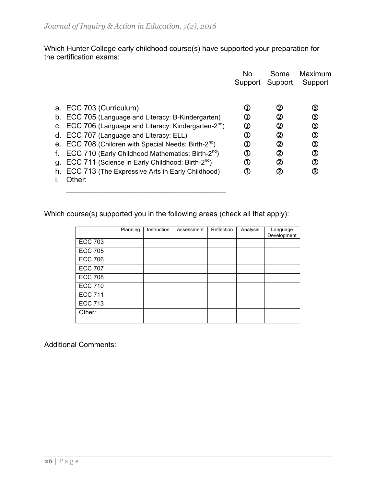Which Hunter College early childhood course(s) have supported your preparation for the certification exams:

|    |                                                                  | <b>No</b>                   | Some    | Maximum |
|----|------------------------------------------------------------------|-----------------------------|---------|---------|
|    |                                                                  | Support                     | Support | Support |
|    |                                                                  |                             |         |         |
|    | a. ECC 703 (Curriculum)                                          | ➀                           | (2      | ③       |
|    | b. ECC 705 (Language and Literacy: B-Kindergarten)               | $^\mathrm{\textregistered}$ | (2      | ③       |
|    | c. ECC 706 (Language and Literacy: Kindergarten- $2^{nd}$ )      | ➀                           | ②       | ③       |
|    | d. ECC 707 (Language and Literacy: ELL)                          | $^\mathrm{\oplus}$          | ②       | ③       |
|    | e. ECC 708 (Children with Special Needs: Birth-2 <sup>nd</sup> ) | $^\mathrm{\textregistered}$ | ②       | ③       |
|    | ECC 710 (Early Childhood Mathematics: Birth-2 <sup>nd</sup> )    | ➀                           | ②       | ③       |
|    | g. ECC 711 (Science in Early Childhood: Birth-2 <sup>nd</sup> )  | $^\mathrm{\textregistered}$ | ②       | ③       |
| h. | ECC 713 (The Expressive Arts in Early Childhood)                 | Φ                           | ②       | ③       |
|    | Other:                                                           |                             |         |         |

Which course(s) supported you in the following areas (check all that apply):

 $\mathcal{L}_\text{max}$  , where  $\mathcal{L}_\text{max}$  and  $\mathcal{L}_\text{max}$  and  $\mathcal{L}_\text{max}$ 

|                | Planning | Instruction | Assessment | Reflection | Analysis | Language<br>Development |
|----------------|----------|-------------|------------|------------|----------|-------------------------|
| <b>ECC 703</b> |          |             |            |            |          |                         |
| <b>ECC 705</b> |          |             |            |            |          |                         |
| <b>ECC 706</b> |          |             |            |            |          |                         |
| <b>ECC 707</b> |          |             |            |            |          |                         |
| <b>ECC 708</b> |          |             |            |            |          |                         |
| <b>ECC 710</b> |          |             |            |            |          |                         |
| <b>ECC 711</b> |          |             |            |            |          |                         |
| <b>ECC 713</b> |          |             |            |            |          |                         |
| Other:         |          |             |            |            |          |                         |

Additional Comments: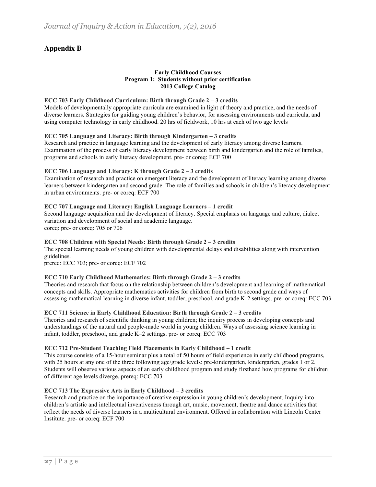### **Appendix B**

#### **Early Childhood Courses Program 1: Students without prior certification 2013 College Catalog**

#### **ECC 703 Early Childhood Curriculum: Birth through Grade 2 – 3 credits**

Models of developmentally appropriate curricula are examined in light of theory and practice, and the needs of diverse learners. Strategies for guiding young children's behavior, for assessing environments and curricula, and using computer technology in early childhood. 20 hrs of fieldwork, 10 hrs at each of two age levels

#### **ECC 705 Language and Literacy: Birth through Kindergarten – 3 credits**

Research and practice in language learning and the development of early literacy among diverse learners. Examination of the process of early literacy development between birth and kindergarten and the role of families, programs and schools in early literacy development. pre- or coreq: ECF 700

#### **ECC 706 Language and Literacy: K through Grade 2 – 3 credits**

Examination of research and practice on emergent literacy and the development of literacy learning among diverse learners between kindergarten and second grade. The role of families and schools in children's literacy development in urban environments. pre- or coreq: ECF 700

#### **ECC 707 Language and Literacy: English Language Learners – 1 credit**

Second language acquisition and the development of literacy. Special emphasis on language and culture, dialect variation and development of social and academic language. coreq: pre- or coreq: 705 or 706

#### **ECC 708 Children with Special Needs: Birth through Grade 2 – 3 credits**

The special learning needs of young children with developmental delays and disabilities along with intervention guidelines.

prereq: ECC 703; pre- or coreq: ECF 702

#### **ECC 710 Early Childhood Mathematics: Birth through Grade 2 – 3 credits**

Theories and research that focus on the relationship between children's development and learning of mathematical concepts and skills. Appropriate mathematics activities for children from birth to second grade and ways of assessing mathematical learning in diverse infant, toddler, preschool, and grade K-2 settings. pre- or coreq: ECC 703

#### **ECC 711 Science in Early Childhood Education: Birth through Grade 2 – 3 credits**

Theories and research of scientific thinking in young children; the inquiry process in developing concepts and understandings of the natural and people-made world in young children. Ways of assessing science learning in infant, toddler, preschool, and grade K–2 settings. pre- or coreq: ECC 703

#### **ECC 712 Pre-Student Teaching Field Placements in Early Childhood – 1 credit**

This course consists of a 15-hour seminar plus a total of 50 hours of field experience in early childhood programs, with 25 hours at any one of the three following age/grade levels: pre-kindergarten, kindergarten, grades 1 or 2. Students will observe various aspects of an early childhood program and study firsthand how programs for children of different age levels diverge. prereq: ECC 703

#### **ECC 713 The Expressive Arts in Early Childhood – 3 credits**

Research and practice on the importance of creative expression in young children's development. Inquiry into children's artistic and intellectual inventiveness through art, music, movement, theatre and dance activities that reflect the needs of diverse learners in a multicultural environment. Offered in collaboration with Lincoln Center Institute. pre- or coreq: ECF 700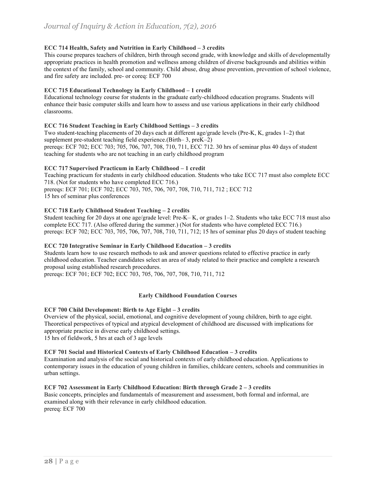#### **ECC 714 Health, Safety and Nutrition in Early Childhood – 3 credits**

This course prepares teachers of children, birth through second grade, with knowledge and skills of developmentally appropriate practices in health promotion and wellness among children of diverse backgrounds and abilities within the context of the family, school and community. Child abuse, drug abuse prevention, prevention of school violence, and fire safety are included. pre- or coreq: ECF 700

#### **ECC 715 Educational Technology in Early Childhood – 1 credit**

Educational technology course for students in the graduate early-childhood education programs. Students will enhance their basic computer skills and learn how to assess and use various applications in their early childhood classrooms.

#### **ECC 716 Student Teaching in Early Childhood Settings – 3 credits**

Two student-teaching placements of 20 days each at different age/grade levels (Pre-K, K, grades 1–2) that supplement pre-student teaching field experience.(Birth– 3, preK–2) prereqs: ECF 702; ECC 703; 705, 706, 707, 708, 710, 711, ECC 712. 30 hrs of seminar plus 40 days of student teaching for students who are not teaching in an early childhood program

#### **ECC 717 Supervised Practicum in Early Childhood – 1 credit**

Teaching practicum for students in early childhood education. Students who take ECC 717 must also complete ECC 718. (Not for students who have completed ECC 716.)

prereqs: ECF 701; ECF 702; ECC 703, 705, 706, 707, 708, 710, 711, 712 ; ECC 712 15 hrs of seminar plus conferences

#### **ECC 718 Early Childhood Student Teaching – 2 credits**

Student teaching for 20 days at one age/grade level: Pre-K– K, or grades 1–2. Students who take ECC 718 must also complete ECC 717. (Also offered during the summer.) (Not for students who have completed ECC 716.) prereqs: ECF 702; ECC 703, 705, 706, 707, 708, 710, 711, 712; 15 hrs of seminar plus 20 days of student teaching

#### **ECC 720 Integrative Seminar in Early Childhood Education – 3 credits**

Students learn how to use research methods to ask and answer questions related to effective practice in early childhood education. Teacher candidates select an area of study related to their practice and complete a research proposal using established research procedures.

prereqs: ECF 701; ECF 702; ECC 703, 705, 706, 707, 708, 710, 711, 712

#### **Early Childhood Foundation Courses**

#### **ECF 700 Child Development: Birth to Age Eight – 3 credits**

Overview of the physical, social, emotional, and cognitive development of young children, birth to age eight. Theoretical perspectives of typical and atypical development of childhood are discussed with implications for appropriate practice in diverse early childhood settings.

15 hrs of fieldwork, 5 hrs at each of 3 age levels

#### **ECF 701 Social and Historical Contexts of Early Childhood Education – 3 credits**

Examination and analysis of the social and historical contexts of early childhood education. Applications to contemporary issues in the education of young children in families, childcare centers, schools and communities in urban settings.

#### **ECF 702 Assessment in Early Childhood Education: Birth through Grade 2 – 3 credits**

Basic concepts, principles and fundamentals of measurement and assessment, both formal and informal, are examined along with their relevance in early childhood education. prereq: ECF 700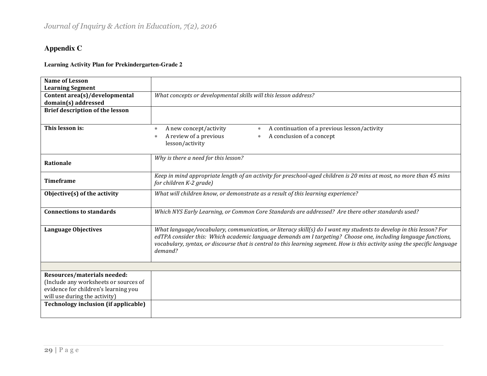# **Appendix C**

### **Learning Activity Plan for Prekindergarten-Grade 2**

| <b>Name of Lesson</b>                       |                                                                                                                             |  |  |  |  |
|---------------------------------------------|-----------------------------------------------------------------------------------------------------------------------------|--|--|--|--|
| <b>Learning Segment</b>                     |                                                                                                                             |  |  |  |  |
| Content area(s)/developmental               | What concepts or developmental skills will this lesson address?                                                             |  |  |  |  |
| domain(s) addressed                         |                                                                                                                             |  |  |  |  |
| <b>Brief description of the lesson</b>      |                                                                                                                             |  |  |  |  |
|                                             |                                                                                                                             |  |  |  |  |
| This lesson is:                             | A new concept/activity<br>A continuation of a previous lesson/activity<br>$\ast$<br>$\ast$                                  |  |  |  |  |
|                                             | A review of a previous<br>A conclusion of a concept<br>$\ast$<br>∗                                                          |  |  |  |  |
|                                             | lesson/activity                                                                                                             |  |  |  |  |
|                                             |                                                                                                                             |  |  |  |  |
| <b>Rationale</b>                            | Why is there a need for this lesson?                                                                                        |  |  |  |  |
|                                             |                                                                                                                             |  |  |  |  |
|                                             | Keep in mind appropriate length of an activity for preschool-aged children is 20 mins at most, no more than 45 mins         |  |  |  |  |
| <b>Timeframe</b><br>for children K-2 grade) |                                                                                                                             |  |  |  |  |
| Objective(s) of the activity                | What will children know, or demonstrate as a result of this learning experience?                                            |  |  |  |  |
|                                             |                                                                                                                             |  |  |  |  |
| <b>Connections to standards</b>             | Which NYS Early Learning, or Common Core Standards are addressed? Are there other standards used?                           |  |  |  |  |
|                                             |                                                                                                                             |  |  |  |  |
| <b>Language Objectives</b>                  | What language/vocabulary, communication, or literacy skill(s) do I want my students to develop in this lesson? For          |  |  |  |  |
|                                             | edTPA consider this: Which academic language demands am I targeting? Choose one, including language functions,              |  |  |  |  |
|                                             | vocabulary, syntax, or discourse that is central to this learning segment. How is this activity using the specific language |  |  |  |  |
|                                             | demand?                                                                                                                     |  |  |  |  |
|                                             |                                                                                                                             |  |  |  |  |
|                                             |                                                                                                                             |  |  |  |  |
| Resources/materials needed:                 |                                                                                                                             |  |  |  |  |
| (Include any worksheets or sources of       |                                                                                                                             |  |  |  |  |
| evidence for children's learning you        |                                                                                                                             |  |  |  |  |
| will use during the activity)               |                                                                                                                             |  |  |  |  |
| <b>Technology inclusion (if applicable)</b> |                                                                                                                             |  |  |  |  |
|                                             |                                                                                                                             |  |  |  |  |
|                                             |                                                                                                                             |  |  |  |  |